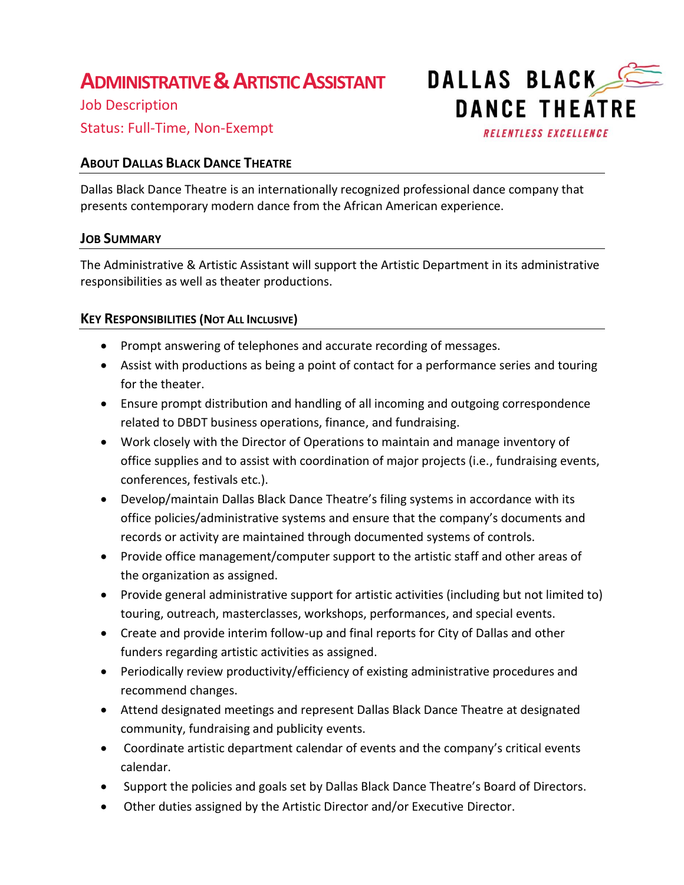# **ADMINISTRATIVE &ARTISTIC ASSISTANT**

Job Description Status: Full-Time, Non-Exempt

## **ABOUT DALLAS BLACK DANCE THEATRE**

Dallas Black Dance Theatre is an internationally recognized professional dance company that presents contemporary modern dance from the African American experience.

### **JOB SUMMARY**

The Administrative & Artistic Assistant will support the Artistic Department in its administrative responsibilities as well as theater productions.

### **KEY RESPONSIBILITIES (NOT ALL INCLUSIVE)**

- Prompt answering of telephones and accurate recording of messages.
- Assist with productions as being a point of contact for a performance series and touring for the theater.
- Ensure prompt distribution and handling of all incoming and outgoing correspondence related to DBDT business operations, finance, and fundraising.
- Work closely with the Director of Operations to maintain and manage inventory of office supplies and to assist with coordination of major projects (i.e., fundraising events, conferences, festivals etc.).
- Develop/maintain Dallas Black Dance Theatre's filing systems in accordance with its office policies/administrative systems and ensure that the company's documents and records or activity are maintained through documented systems of controls.
- Provide office management/computer support to the artistic staff and other areas of the organization as assigned.
- Provide general administrative support for artistic activities (including but not limited to) touring, outreach, masterclasses, workshops, performances, and special events.
- Create and provide interim follow-up and final reports for City of Dallas and other funders regarding artistic activities as assigned.
- Periodically review productivity/efficiency of existing administrative procedures and recommend changes.
- Attend designated meetings and represent Dallas Black Dance Theatre at designated community, fundraising and publicity events.
- Coordinate artistic department calendar of events and the company's critical events calendar.
- Support the policies and goals set by Dallas Black Dance Theatre's Board of Directors.
- Other duties assigned by the Artistic Director and/or Executive Director.



**RELENTLESS EXCELLENCE**